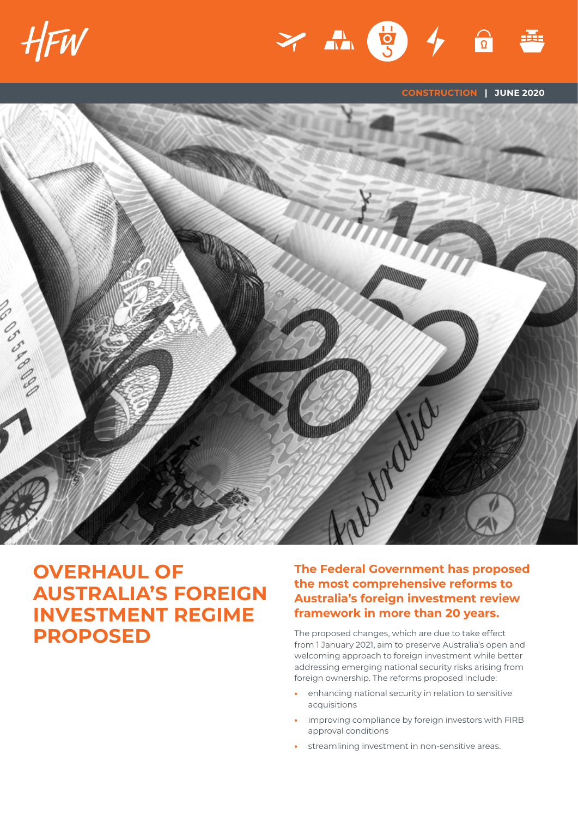



**CONSTRUCTION | JUNE 2020**



# **OVERHAUL OF AUSTRALIA'S FOREIGN INVESTMENT REGIME PROPOSED**

## **The Federal Government has proposed the most comprehensive reforms to Australia's foreign investment review framework in more than 20 years.**

The proposed changes, which are due to take effect from 1 January 2021, aim to preserve Australia's open and welcoming approach to foreign investment while better addressing emerging national security risks arising from foreign ownership. The reforms proposed include:

- **•** enhancing national security in relation to sensitive acquisitions
- **•** improving compliance by foreign investors with FIRB approval conditions
- **•** streamlining investment in non-sensitive areas.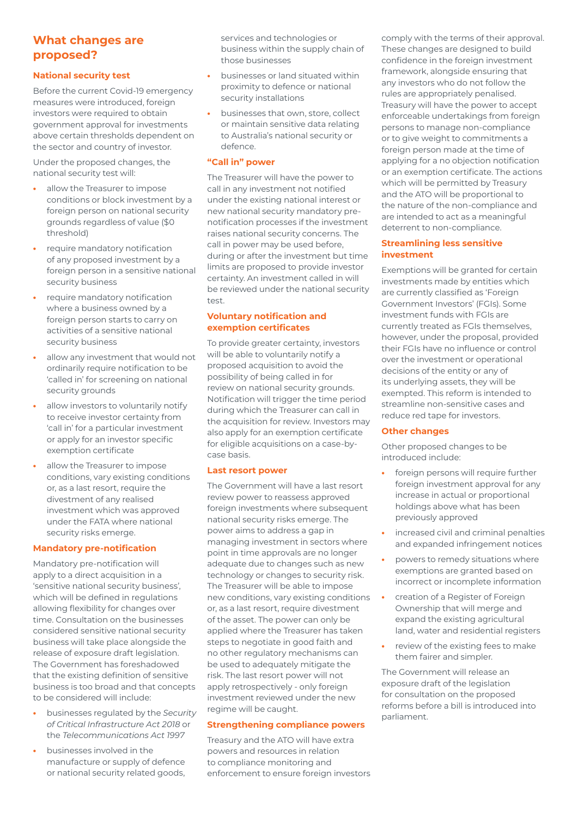## **What changes are proposed?**

### **National security test**

Before the current Covid-19 emergency measures were introduced, foreign investors were required to obtain government approval for investments above certain thresholds dependent on the sector and country of investor.

Under the proposed changes, the national security test will:

- **•** allow the Treasurer to impose conditions or block investment by a foreign person on national security grounds regardless of value (\$0 threshold)
- **•** require mandatory notification of any proposed investment by a foreign person in a sensitive national security business
- **•** require mandatory notification where a business owned by a foreign person starts to carry on activities of a sensitive national security business
- **•** allow any investment that would not ordinarily require notification to be 'called in' for screening on national security grounds
- **•** allow investors to voluntarily notify to receive investor certainty from 'call in' for a particular investment or apply for an investor specific exemption certificate
- **•** allow the Treasurer to impose conditions, vary existing conditions or, as a last resort, require the divestment of any realised investment which was approved under the FATA where national security risks emerge.

#### **Mandatory pre-notification**

Mandatory pre-notification will apply to a direct acquisition in a 'sensitive national security business', which will be defined in regulations allowing flexibility for changes over time. Consultation on the businesses considered sensitive national security business will take place alongside the release of exposure draft legislation. The Government has foreshadowed that the existing definition of sensitive business is too broad and that concepts to be considered will include:

- **•** businesses regulated by the *Security of Critical Infrastructure Act 2018* or the *Telecommunications Act 1997*
- **•** businesses involved in the manufacture or supply of defence or national security related goods,

services and technologies or business within the supply chain of those businesses

- **•** businesses or land situated within proximity to defence or national security installations
- **•** businesses that own, store, collect or maintain sensitive data relating to Australia's national security or defence.

#### **"Call in" power**

The Treasurer will have the power to call in any investment not notified under the existing national interest or new national security mandatory prenotification processes if the investment raises national security concerns. The call in power may be used before, during or after the investment but time limits are proposed to provide investor certainty. An investment called in will be reviewed under the national security test.

#### **Voluntary notification and exemption certificates**

To provide greater certainty, investors will be able to voluntarily notify a proposed acquisition to avoid the possibility of being called in for review on national security grounds. Notification will trigger the time period during which the Treasurer can call in the acquisition for review. Investors may also apply for an exemption certificate for eligible acquisitions on a case-bycase basis.

#### **Last resort power**

The Government will have a last resort review power to reassess approved foreign investments where subsequent national security risks emerge. The power aims to address a gap in managing investment in sectors where point in time approvals are no longer adequate due to changes such as new technology or changes to security risk. The Treasurer will be able to impose new conditions, vary existing conditions or, as a last resort, require divestment of the asset. The power can only be applied where the Treasurer has taken steps to negotiate in good faith and no other regulatory mechanisms can be used to adequately mitigate the risk. The last resort power will not apply retrospectively - only foreign investment reviewed under the new regime will be caught.

#### **Strengthening compliance powers**

Treasury and the ATO will have extra powers and resources in relation to compliance monitoring and enforcement to ensure foreign investors comply with the terms of their approval. These changes are designed to build confidence in the foreign investment framework, alongside ensuring that any investors who do not follow the rules are appropriately penalised. Treasury will have the power to accept enforceable undertakings from foreign persons to manage non-compliance or to give weight to commitments a foreign person made at the time of applying for a no objection notification or an exemption certificate. The actions which will be permitted by Treasury and the ATO will be proportional to the nature of the non-compliance and are intended to act as a meaningful deterrent to non-compliance.

#### **Streamlining less sensitive investment**

Exemptions will be granted for certain investments made by entities which are currently classified as 'Foreign Government Investors' (FGIs). Some investment funds with FGIs are currently treated as FGIs themselves, however, under the proposal, provided their FGIs have no influence or control over the investment or operational decisions of the entity or any of its underlying assets, they will be exempted. This reform is intended to streamline non-sensitive cases and reduce red tape for investors.

#### **Other changes**

Other proposed changes to be introduced include:

- **•** foreign persons will require further foreign investment approval for any increase in actual or proportional holdings above what has been previously approved
- **•** increased civil and criminal penalties and expanded infringement notices
- **•** powers to remedy situations where exemptions are granted based on incorrect or incomplete information
- **•** creation of a Register of Foreign Ownership that will merge and expand the existing agricultural land, water and residential registers
- **•** review of the existing fees to make them fairer and simpler.

The Government will release an exposure draft of the legislation for consultation on the proposed reforms before a bill is introduced into parliament.